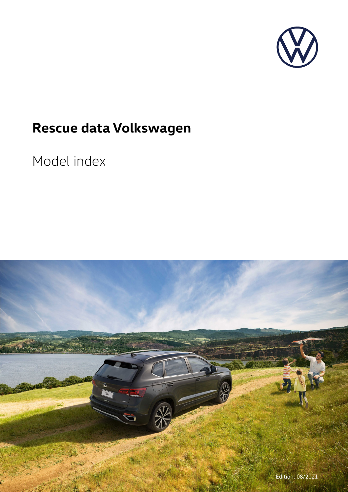

## **Rescue data Volkswagen**

## Model index